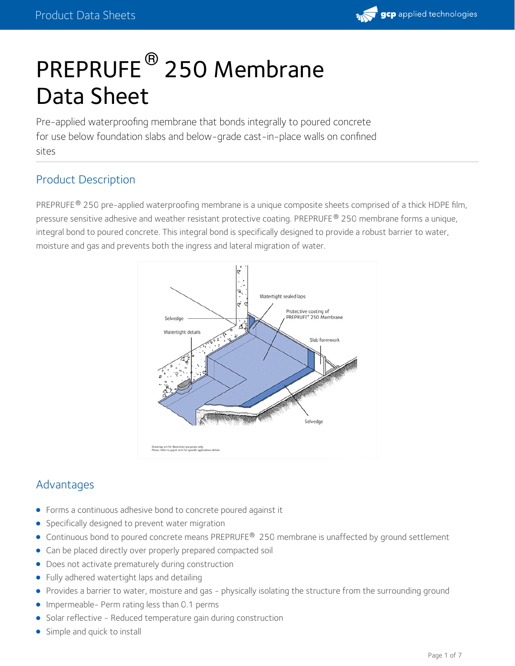

# PREPRUFE<sup>®</sup> 250 Membrane Data Sheet

Pre-applied waterproofing membrane that bonds integrally to poured concrete for use below foundation slabs and below-grade cast-in-place walls on confined sites

# Product Description

PREPRUFE® 250 pre-applied waterproofing membrane is a unique composite sheets comprised of a thick HDPE film, pressure sensitive adhesive and weather resistant protective coating. PREPRUFE® 250 membrane forms a unique, integral bond to poured concrete. This integral bond is specifically designed to provide a robust barrier to water, moisture and gas and prevents both the ingress and lateral migration of water.



# Advantages

- Forms a continuous adhesive bond to concrete poured against it
- Specifically designed to prevent water migration
- Continuous bond to poured concrete means PREPRUFE® 250 membrane is unaffected by ground settlement
- Can be placed directly over properly prepared compacted soil
- Does not activate prematurely during construction
- Fully adhered watertight laps and detailing
- Provides a barrier to water, moisture and gas physically isolating the structure from the surrounding ground
- **Impermeable- Perm rating less than 0.1 perms**
- Solar reflective Reduced temperature gain during construction
- Simple and quick to install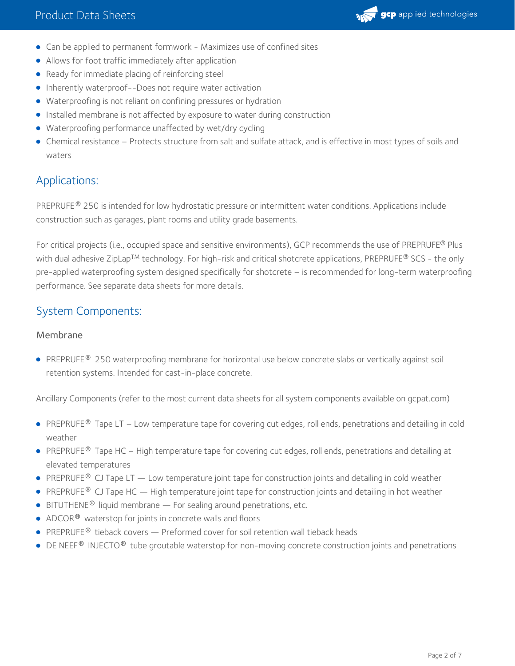

- Can be applied to permanent formwork Maximizes use of confined sites
- Allows for foot traffic immediately after application
- Ready for immediate placing of reinforcing steel
- Inherently waterproof--Does not require water activation
- Waterproofing is not reliant on confining pressures or hydration
- **Installed membrane is not affected by exposure to water during construction**
- Waterproofing performance unaffected by wet/dry cycling
- Chemical resistance Protects structure from salt and sulfate attack, and is effective in most types of soils and waters

## Applications:

PREPRUFE® 250 is intended for low hydrostatic pressure or intermittent water conditions. Applications include construction such as garages, plant rooms and utility grade basements.

For critical projects (i.e., occupied space and sensitive environments), GCP recommends the use of PREPRUFE® Plus with dual adhesive ZipLap™ technology. For high-risk and critical shotcrete applications, PREPRUFE® SCS - the only pre-applied waterproofing system designed specifically for shotcrete – is recommended for long-term waterproofing performance. See separate data sheets for more details.

## System Components:

#### Membrane

PREPRUFE® 250 waterproofing membrane for horizontal use below concrete slabs or vertically against soil retention systems. Intended for cast-in-place concrete.

Ancillary Components (refer to the most current data sheets for all system components available on gcpat.com)

- PREPRUFE® Tape LT Low temperature tape for covering cut edges, roll ends, penetrations and detailing in cold weather
- PREPRUFE® Tape HC High temperature tape for covering cut edges, roll ends, penetrations and detailing at elevated temperatures
- **PREPRUFE © CJ Tape LT Low temperature joint tape for construction joints and detailing in cold weather**
- PREPRUFE<sup>®</sup> CJ Tape HC High temperature joint tape for construction joints and detailing in hot weather
- $\bullet$  BITUTHENE<sup>®</sup> liquid membrane For sealing around penetrations, etc.
- ADCOR<sup>®</sup> waterstop for joints in concrete walls and floors
- **PREPRUFE**<sup>®</sup> tieback covers  $-$  Preformed cover for soil retention wall tieback heads
- $\bullet$  DE NEEF<sup>®</sup> INJECTO<sup>®</sup> tube groutable waterstop for non-moving concrete construction joints and penetrations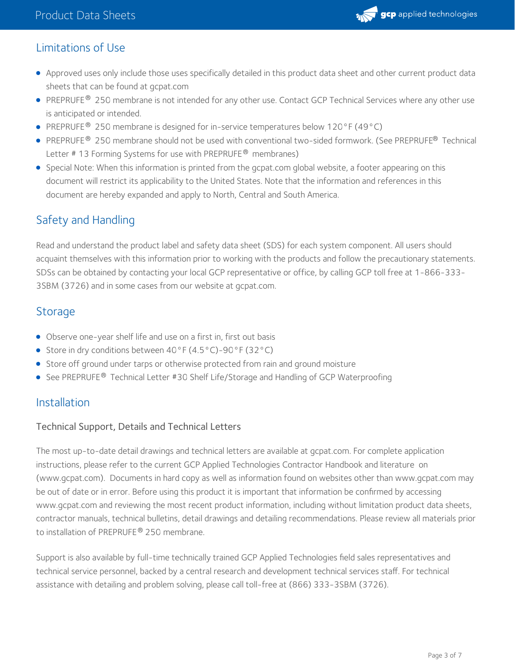

# Limitations of Use

- Approved uses only include those uses specifically detailed in this product data sheet and other current product data sheets that can be found at gcpat.com
- PREPRUFE® 250 membrane is not intended for any other use. Contact GCP Technical Services where any other use is anticipated or intended.
- PREPRUFE<sup>®</sup> 250 membrane is designed for in-service temperatures below 120°F (49°C)
- PREPRUFE® 250 membrane should not be used with conventional two-sided formwork. (See PREPRUFE® Technical Letter # 13 Forming Systems for use with PREPRUFE® membranes)
- Special Note: When this information is printed from the gcpat.com global website, a footer appearing on this document will restrict its applicability to the United States. Note that the information and references in this document are hereby expanded and apply to North, Central and South America.

# Safety and Handling

Read and understand the product label and safety data sheet (SDS) for each system component. All users should acquaint themselves with this information prior to working with the products and follow the precautionary statements. SDSs can be obtained by contacting your local GCP representative or office, by calling GCP toll free at 1-866-333- 3SBM (3726) and in some cases from our website at gcpat.com.

## **Storage**

- Observe one-year shelf life and use on a first in, first out basis
- Store in dry conditions between 40°F (4.5°C)-90°F (32°C)
- Store off ground under tarps or otherwise protected from rain and ground moisture
- See PREPRUFE® Technical Letter #30 Shelf Life/Storage and Handling of GCP Waterproofing

## Installation

## Technical Support, Details and Technical Letters

The most up-to-date detail drawings and technical letters are available at gcpat.com. For complete application instructions, please refer to the current GCP Applied Technologies Contractor Handbook and literature on (www.gcpat.com). Documents in hard copy as well as information found on websites other than www.gcpat.com may be out of date or in error. Before using this product it is important that information be confirmed by accessing www.gcpat.com and reviewing the most recent product information, including without limitation product data sheets, contractor manuals, technical bulletins, detail drawings and detailing recommendations. Please review all materials prior to installation of PREPRUFE® 250 membrane.

Support is also available by full-time technically trained GCP Applied Technologies field sales representatives and technical service personnel, backed by a central research and development technical services staff. For technical assistance with detailing and problem solving, please call toll-free at (866) 333-3SBM (3726).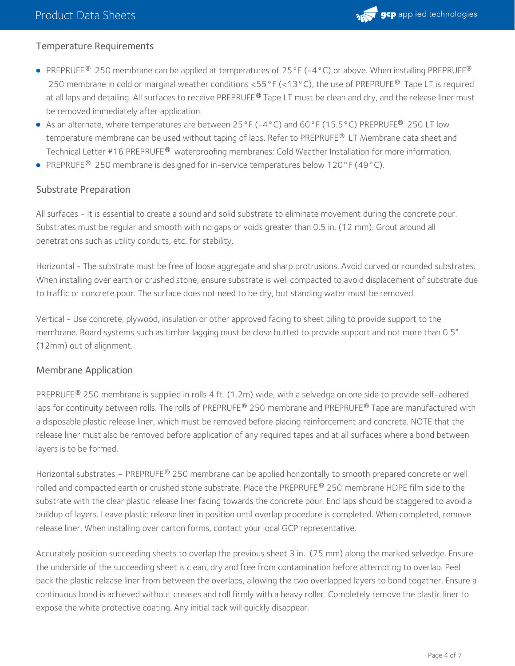

## Temperature Requirements

- PREPRUFE® 250 membrane can be applied at temperatures of 25°F (-4°C) or above. When installing PREPRUFE® 250 membrane in cold or marginal weather conditions <55°F (<13°C), the use of PREPRUFE® Tape LT is required at all laps and detailing. All surfaces to receive PREPRUFE® Tape LT must be clean and dry, and the release liner must be removed immediately after application.
- As an alternate, where temperatures are between 25°F (-4°C) and 60°F (15.5°C) PREPRUFE® 250 LT low temperature membrane can be used without taping of laps. Refer to PREPRUFE® LT Membrane data sheet and Technical Letter #16 PREPRUFE® waterproofing membranes: Cold Weather Installation for more information.
- PREPRUFE<sup>®</sup> 250 membrane is designed for in-service temperatures below 120°F (49°C).

## Substrate Preparation

All surfaces - It is essential to create a sound and solid substrate to eliminate movement during the concrete pour. Substrates must be regular and smooth with no gaps or voids greater than 0.5 in. (12 mm). Grout around all penetrations such as utility conduits, etc. for stability.

Horizontal - The substrate must be free of loose aggregate and sharp protrusions. Avoid curved or rounded substrates. When installing over earth or crushed stone, ensure substrate is well compacted to avoid displacement of substrate due to traffic or concrete pour. The surface does not need to be dry, but standing water must be removed.

Vertical - Use concrete, plywood, insulation or other approved facing to sheet piling to provide support to the membrane. Board systems such as timber lagging must be close butted to provide support and not more than 0.5" (12mm) out of alignment.

#### Membrane Application

PREPRUFE® 250 membrane is supplied in rolls 4 ft. (1.2m) wide, with a selvedge on one side to provide self-adhered laps for continuity between rolls. The rolls of PREPRUFE® 250 membrane and PREPRUFE® Tape are manufactured with a disposable plastic release liner, which must be removed before placing reinforcement and concrete. NOTE that the release liner must also be removed before application of any required tapes and at all surfaces where a bond between layers is to be formed.

Horizontal substrates – PREPRUFE® 250 membrane can be applied horizontally to smooth prepared concrete or well rolled and compacted earth or crushed stone substrate. Place the PREPRUFE  $^\circledR$  250 membrane HDPE film side to the substrate with the clear plastic release liner facing towards the concrete pour. End laps should be staggered to avoid a buildup of layers. Leave plastic release liner in position until overlap procedure is completed. When completed, remove release liner. When installing over carton forms, contact your local GCP representative.

Accurately position succeeding sheets to overlap the previous sheet 3 in. (75 mm) along the marked selvedge. Ensure the underside of the succeeding sheet is clean, dry and free from contamination before attempting to overlap. Peel back the plastic release liner from between the overlaps, allowing the two overlapped layers to bond together. Ensure a continuous bond is achieved without creases and roll firmly with a heavy roller. Completely remove the plastic liner to expose the white protective coating. Any initial tack will quickly disappear.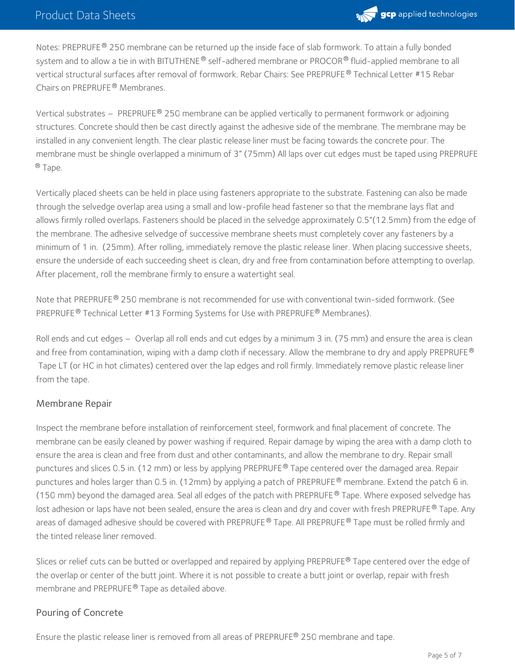

Notes: PREPRUFE® 250 membrane can be returned up the inside face of slab formwork. To attain a fully bonded system and to allow a tie in with BITUTHENE® self-adhered membrane or PROCOR® fluid-applied membrane to all  $\,$ vertical structural surfaces after removal of formwork. Rebar Chairs: See PREPRUFE® Technical Letter #15 Rebar Chairs on PREPRUFE® Membranes.

Vertical substrates – PREPRUFE® 250 membrane can be applied vertically to permanent formwork or adjoining structures. Concrete should then be cast directly against the adhesive side of the membrane. The membrane may be installed in any convenient length. The clear plastic release liner must be facing towards the concrete pour. The membrane must be shingle overlapped a minimum of 3" (75mm) All laps over cut edges must be taped using PREPRUFE ® Tape.

Vertically placed sheets can be held in place using fasteners appropriate to the substrate. Fastening can also be made through the selvedge overlap area using a small and low-profile head fastener so that the membrane lays flat and allows firmly rolled overlaps. Fasteners should be placed in the selvedge approximately 0.5"(12.5mm) from the edge of the membrane. The adhesive selvedge of successive membrane sheets must completely cover any fasteners by a minimum of 1 in. (25mm). After rolling, immediately remove the plastic release liner. When placing successive sheets, ensure the underside of each succeeding sheet is clean, dry and free from contamination before attempting to overlap. After placement, roll the membrane firmly to ensure a watertight seal.

Note that PREPRUFE® 250 membrane is not recommended for use with conventional twin-sided formwork. (See PREPRUFE® Technical Letter #13 Forming Systems for Use with PREPRUFE® Membranes).

Roll ends and cut edges – Overlap all roll ends and cut edges by a minimum 3in. (75 mm) and ensure the area is clean and free from contamination, wiping with a damp cloth if necessary. Allow the membrane to dry and apply PREPRUFE  $^\circ$ Tape LT (or HC in hot climates) centered over the lap edges and roll firmly. Immediately remove plastic release liner from the tape.

#### Membrane Repair

Inspect the membrane before installation of reinforcement steel, formwork and final placement of concrete. The membrane can be easily cleaned by power washing if required. Repair damage by wiping the area with a damp cloth to ensure the area is clean and free from dust and other contaminants, and allow the membrane to dry. Repair small punctures and slices 0.5 in. (12 mm) or less by applying PREPRUFE® Tape centered over the damaged area. Repair punctures and holes larger than 0.5 in. (12mm) by applying a patch of PREPRUFE® membrane. Extend the patch 6 in. (150 mm) beyond the damaged area. Seal all edges of the patch with PREPRUFE  $^{\circledast}$  Tape. Where exposed selvedge has lost adhesion or laps have not been sealed, ensure the area is clean and dry and cover with fresh PREPRUFE® Tape. Any areas of damaged adhesive should be covered with PREPRUFE® Tape. All PREPRUFE® Tape must be rolled firmly and the tinted release liner removed.

Slices or relief cuts can be butted or overlapped and repaired by applying PREPRUFE® Tape centered over the edge of the overlap or center of the butt joint. Where it is not possible to create a butt joint or overlap, repair with fresh membrane and PREPRUFE® Tape as detailed above.

#### Pouring of Concrete

Ensure the plastic release liner is removed from all areas of PREPRUFE® 250 membrane and tape.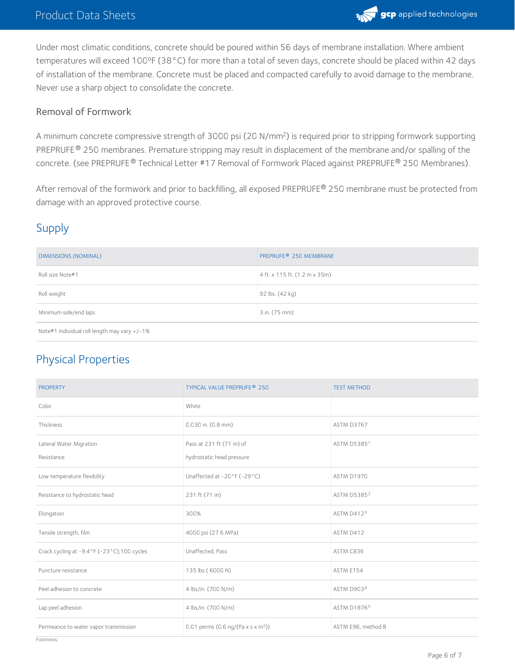

Under most climatic conditions, concrete should be poured within 56 days of membrane installation. Where ambient temperatures will exceed 100°F (38°C) for more than a total of seven days, concrete should be placed within 42 days of installation of the membrane. Concrete must be placed and compacted carefully to avoid damage to the membrane. Never use a sharp object to consolidate the concrete.

#### Removal of Formwork

A minimum concrete compressive strength of 3000 psi (20 N/mm<sup>2</sup>) is required prior to stripping formwork supporting PREPRUFE® 250 membranes. Premature stripping may result in displacement of the membrane and/or spalling of the concrete. (see PREPRUFE® Technical Letter #17 Removal of Formwork Placed against PREPRUFE® 250 Membranes).

After removal of the formwork and prior to backfilling, all exposed PREPRUFE® 250 membrane must be protected from damage with an approved protective course.

# Supply

| DIMENSIONS (NOMINAL)                         | <b>PREPRUFE® 250 MEMBRANE</b> |  |
|----------------------------------------------|-------------------------------|--|
| Roll size Note#1                             | 4 ft. x 115 ft. (1.2 m x 35m) |  |
| Roll weight                                  | 92 lbs. (42 kg)               |  |
| Minimum side/end laps                        | 3 in. (75 mm)                 |  |
| Note#1 Individual roll length may vary +/-1% |                               |  |

## Physical Properties

| <b>PROPERTY</b>                            | <b>TYPICAL VALUE PREPRUFE® 250</b>          | <b>TEST METHOD</b> |
|--------------------------------------------|---------------------------------------------|--------------------|
| Color                                      | White                                       |                    |
| Thickness                                  | $0.030$ in. $(0.8$ mm)                      | ASTM D3767         |
| Lateral Water Migration                    | Pass at 231 ft (71 m) of                    | ASTM D53851        |
| Resistance                                 | hydrostatic head pressure                   |                    |
| Low temperature flexibility                | Unaffected at -20°F (-29°C)                 | <b>ASTM D1970</b>  |
| Resistance to hydrostatic head             | 231 ft (71 m)                               | <b>ASTM D53852</b> |
| Elongation                                 | 300%                                        | ASTM D4123         |
| Tensile strength, film                     | 4000 psi (27.6 MPa)                         | ASTM D412          |
| Crack cycling at -9.4°F (-23°C),100 cycles | Unaffected, Pass                            | ASTM C836          |
| Puncture resistance                        | 135 lbs (6000 N)                            | ASTM E154          |
| Peel adhesion to concrete                  | 4 lbs/in. (700 N/m)                         | <b>ASTM D9034</b>  |
| Lap peel adhesion                          | 4 lbs/in. (700 N/m)                         | <b>ASTM D18765</b> |
| Permeance to water vapor transmission      | 0.01 perms $(0.6 \text{ ng/(Pa x s x m2)})$ | ASTM E96, method B |

Footnotes: